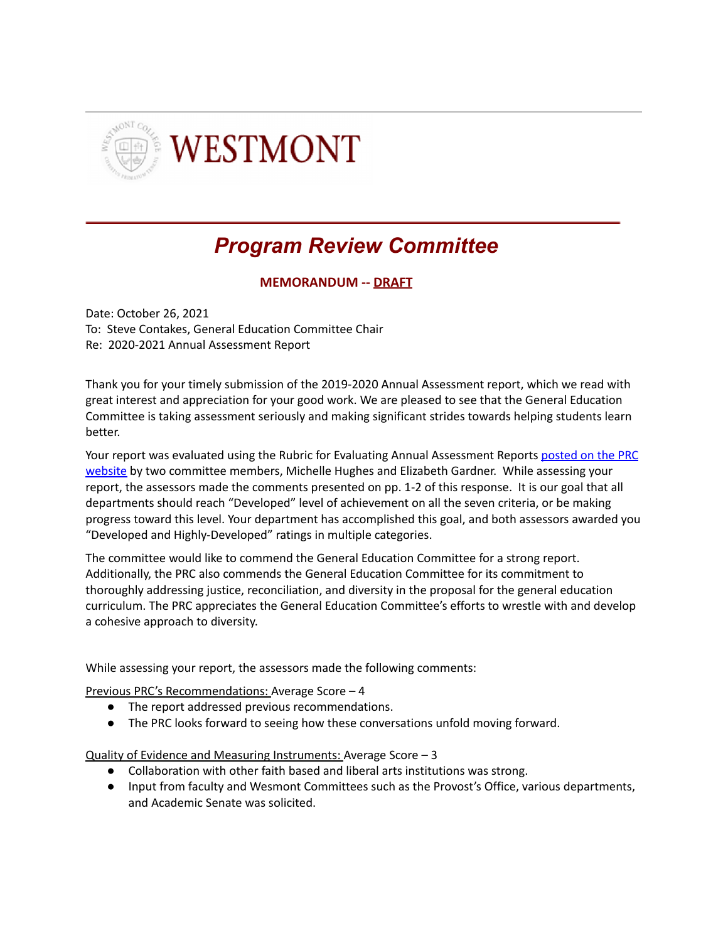

## *Program Review Committee*

**MEMORANDUM -- DRAFT**

Date: October 26, 2021 To: Steve Contakes, General Education Committee Chair Re: 2020-2021 Annual Assessment Report

Thank you for your timely submission of the 2019-2020 Annual Assessment report, which we read with great interest and appreciation for your good work. We are pleased to see that the General Education Committee is taking assessment seriously and making significant strides towards helping students learn better.

Your report was evaluated using the Rubric for Evaluating Annual Assessment Reports [posted](http://www.westmont.edu/_offices/institutional_portfolio/program_review/TemplatesSchedules.html) on the PRC [website](http://www.westmont.edu/_offices/institutional_portfolio/program_review/TemplatesSchedules.html) by two committee members, Michelle Hughes and Elizabeth Gardner. While assessing your report, the assessors made the comments presented on pp. 1-2 of this response. It is our goal that all departments should reach "Developed" level of achievement on all the seven criteria, or be making progress toward this level. Your department has accomplished this goal, and both assessors awarded you "Developed and Highly-Developed" ratings in multiple categories.

The committee would like to commend the General Education Committee for a strong report. Additionally, the PRC also commends the General Education Committee for its commitment to thoroughly addressing justice, reconciliation, and diversity in the proposal for the general education curriculum. The PRC appreciates the General Education Committee's efforts to wrestle with and develop a cohesive approach to diversity.

While assessing your report, the assessors made the following comments:

Previous PRC's Recommendations: Average Score – 4

- The report addressed previous recommendations.
- The PRC looks forward to seeing how these conversations unfold moving forward.

Quality of Evidence and Measuring Instruments: Average Score – 3

- Collaboration with other faith based and liberal arts institutions was strong.
- Input from faculty and Wesmont Committees such as the Provost's Office, various departments, and Academic Senate was solicited.